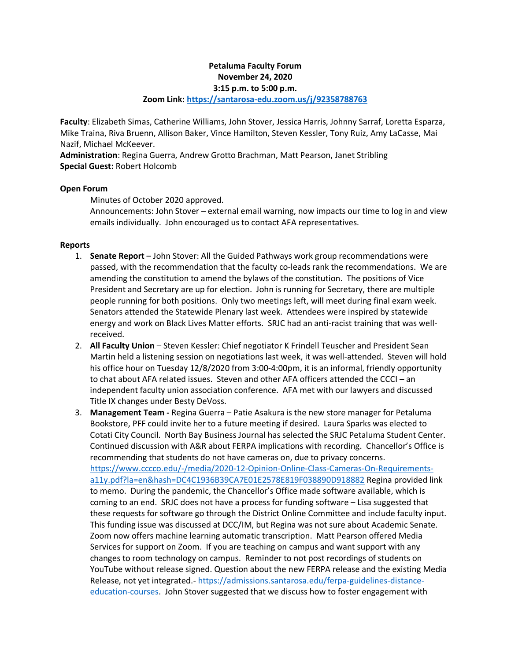# **Petaluma Faculty Forum November 24, 2020 3:15 p.m. to 5:00 p.m.**

#### **Zoom Link:<https://santarosa-edu.zoom.us/j/92358788763>**

**Faculty**: Elizabeth Simas, Catherine Williams, John Stover, Jessica Harris, Johnny Sarraf, Loretta Esparza, Mike Traina, Riva Bruenn, Allison Baker, Vince Hamilton, Steven Kessler, Tony Ruiz, Amy LaCasse, Mai Nazif, Michael McKeever.

**Administration**: Regina Guerra, Andrew Grotto Brachman, Matt Pearson, Janet Stribling **Special Guest:** Robert Holcomb

# **Open Forum**

Minutes of October 2020 approved.

Announcements: John Stover – external email warning, now impacts our time to log in and view emails individually. John encouraged us to contact AFA representatives.

# **Reports**

- 1. **Senate Report** John Stover: All the Guided Pathways work group recommendations were passed, with the recommendation that the faculty co-leads rank the recommendations. We are amending the constitution to amend the bylaws of the constitution. The positions of Vice President and Secretary are up for election. John is running for Secretary, there are multiple people running for both positions. Only two meetings left, will meet during final exam week. Senators attended the Statewide Plenary last week. Attendees were inspired by statewide energy and work on Black Lives Matter efforts. SRJC had an anti-racist training that was wellreceived.
- 2. **All Faculty Union** Steven Kessler: Chief negotiator K Frindell Teuscher and President Sean Martin held a listening session on negotiations last week, it was well-attended. Steven will hold his office hour on Tuesday 12/8/2020 from 3:00-4:00pm, it is an informal, friendly opportunity to chat about AFA related issues. Steven and other AFA officers attended the CCCI – an independent faculty union association conference. AFA met with our lawyers and discussed Title IX changes under Besty DeVoss.
- 3. **Management Team -** Regina Guerra Patie Asakura is the new store manager for Petaluma Bookstore, PFF could invite her to a future meeting if desired. Laura Sparks was elected to Cotati City Council. North Bay Business Journal has selected the SRJC Petaluma Student Center. Continued discussion with A&R about FERPA implications with recording. Chancellor's Office is recommending that students do not have cameras on, due to privacy concerns. [https://www.cccco.edu/-/media/2020-12-Opinion-Online-Class-Cameras-On-Requirements](https://www.cccco.edu/-/media/2020-12-Opinion-Online-Class-Cameras-On-Requirements-a11y.pdf?la=en&hash=DC4C1936B39CA7E01E2578E819F038890D918882)[a11y.pdf?la=en&hash=DC4C1936B39CA7E01E2578E819F038890D918882](https://www.cccco.edu/-/media/2020-12-Opinion-Online-Class-Cameras-On-Requirements-a11y.pdf?la=en&hash=DC4C1936B39CA7E01E2578E819F038890D918882) Regina provided link to memo. During the pandemic, the Chancellor's Office made software available, which is coming to an end. SRJC does not have a process for funding software – Lisa suggested that these requests for software go through the District Online Committee and include faculty input. This funding issue was discussed at DCC/IM, but Regina was not sure about Academic Senate. Zoom now offers machine learning automatic transcription. Matt Pearson offered Media Services for support on Zoom. If you are teaching on campus and want support with any changes to room technology on campus. Reminder to not post recordings of students on YouTube without release signed. Question about the new FERPA release and the existing Media Release, not yet integrated.- [https://admissions.santarosa.edu/ferpa-guidelines-distance](https://admissions.santarosa.edu/ferpa-guidelines-distance-education-courses)[education-courses.](https://admissions.santarosa.edu/ferpa-guidelines-distance-education-courses) John Stover suggested that we discuss how to foster engagement with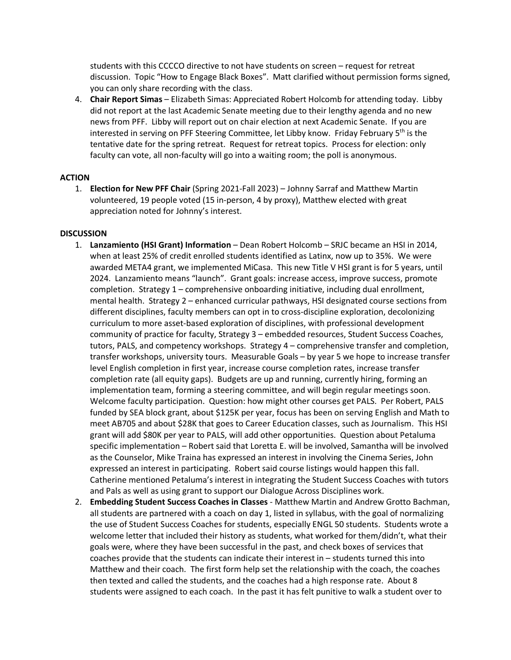students with this CCCCO directive to not have students on screen – request for retreat discussion. Topic "How to Engage Black Boxes". Matt clarified without permission forms signed, you can only share recording with the class.

4. **Chair Report Simas** – Elizabeth Simas: Appreciated Robert Holcomb for attending today. Libby did not report at the last Academic Senate meeting due to their lengthy agenda and no new news from PFF. Libby will report out on chair election at next Academic Senate. If you are interested in serving on PFF Steering Committee, let Libby know. Friday February 5<sup>th</sup> is the tentative date for the spring retreat. Request for retreat topics. Process for election: only faculty can vote, all non-faculty will go into a waiting room; the poll is anonymous.

### **ACTION**

1. **Election for New PFF Chair** (Spring 2021-Fall 2023) – Johnny Sarraf and Matthew Martin volunteered, 19 people voted (15 in-person, 4 by proxy), Matthew elected with great appreciation noted for Johnny's interest.

### **DISCUSSION**

- 1. **Lanzamiento (HSI Grant) Information** Dean Robert Holcomb SRJC became an HSI in 2014, when at least 25% of credit enrolled students identified as Latinx, now up to 35%. We were awarded META4 grant, we implemented MiCasa. This new Title V HSI grant is for 5 years, until 2024. Lanzamiento means "launch". Grant goals: increase access, improve success, promote completion. Strategy 1 – comprehensive onboarding initiative, including dual enrollment, mental health. Strategy 2 – enhanced curricular pathways, HSI designated course sections from different disciplines, faculty members can opt in to cross-discipline exploration, decolonizing curriculum to more asset-based exploration of disciplines, with professional development community of practice for faculty, Strategy 3 – embedded resources, Student Success Coaches, tutors, PALS, and competency workshops. Strategy 4 – comprehensive transfer and completion, transfer workshops, university tours. Measurable Goals – by year 5 we hope to increase transfer level English completion in first year, increase course completion rates, increase transfer completion rate (all equity gaps). Budgets are up and running, currently hiring, forming an implementation team, forming a steering committee, and will begin regular meetings soon. Welcome faculty participation. Question: how might other courses get PALS. Per Robert, PALS funded by SEA block grant, about \$125K per year, focus has been on serving English and Math to meet AB705 and about \$28K that goes to Career Education classes, such as Journalism. This HSI grant will add \$80K per year to PALS, will add other opportunities. Question about Petaluma specific implementation – Robert said that Loretta E. will be involved, Samantha will be involved as the Counselor, Mike Traina has expressed an interest in involving the Cinema Series, John expressed an interest in participating. Robert said course listings would happen this fall. Catherine mentioned Petaluma's interest in integrating the Student Success Coaches with tutors and Pals as well as using grant to support our Dialogue Across Disciplines work.
- 2. **Embedding Student Success Coaches in Classes** Matthew Martin and Andrew Grotto Bachman, all students are partnered with a coach on day 1, listed in syllabus, with the goal of normalizing the use of Student Success Coaches for students, especially ENGL 50 students. Students wrote a welcome letter that included their history as students, what worked for them/didn't, what their goals were, where they have been successful in the past, and check boxes of services that coaches provide that the students can indicate their interest in – students turned this into Matthew and their coach. The first form help set the relationship with the coach, the coaches then texted and called the students, and the coaches had a high response rate. About 8 students were assigned to each coach. In the past it has felt punitive to walk a student over to